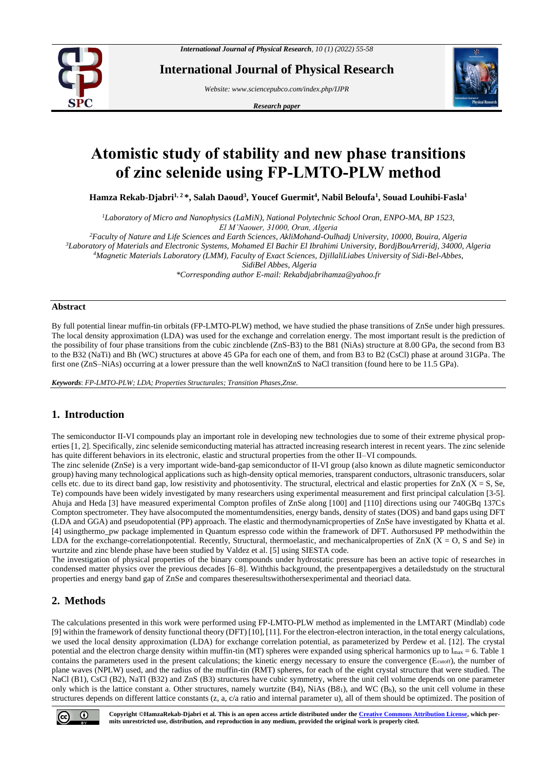

**International Journal of Physical Research**

*Website: www.sciencepubco.com/index.php/IJPR* 

*Research paper*



# **Atomistic study of stability and new phase transitions of zinc selenide using FP-LMTO-PLW method**

**Hamza Rekab-Djabri1, 2 \*, Salah Daoud<sup>3</sup> , Youcef Guermit<sup>4</sup> , Nabil Beloufa<sup>1</sup> , Souad Louhibi-Fasla<sup>1</sup>**

*<sup>1</sup>Laboratory of Micro and Nanophysics (LaMiN), National Polytechnic School Oran, ENPO-MA, BP 1523, El M'Naouer, 31000, Oran, Algeria*

*<sup>2</sup>Faculty of Nature and Life Sciences and Earth Sciences, AkliMohand-Oulhadj University, 10000, Bouira, Algeria*

*<sup>3</sup>Laboratory of Materials and Electronic Systems, Mohamed El Bachir El Ibrahimi University, BordjBouArreridj, 34000, Algeria*

*<sup>4</sup>Magnetic Materials Laboratory (LMM), Faculty of Exact Sciences, DjillaliLiabes University of Sidi-Bel-Abbes,*

*SidiBel Abbes, Algeria*

*\*Corresponding author E-mail: Rekabdjabrihamza@yahoo.fr*

#### **Abstract**

By full potential linear muffin-tin orbitals (FP-LMTO-PLW) method, we have studied the phase transitions of ZnSe under high pressures. The local density approximation (LDA) was used for the exchange and correlation energy. The most important result is the prediction of the possibility of four phase transitions from the cubic zincblende (ZnS-B3) to the B81 (NiAs) structure at 8.00 GPa, the second from B3 to the B32 (NaTi) and Bh (WC) structures at above 45 GPa for each one of them, and from B3 to B2 (CsCl) phase at around 31GPa. The first one (ZnS–NiAs) occurring at a lower pressure than the well knownZnS to NaCl transition (found here to be 11.5 GPa).

*Keywords*: *FP-LMTO-PLW; LDA; Properties Structurales; Transition Phases,Znse.*

# **1. Introduction**

The semiconductor II-VI compounds play an important role in developing new technologies due to some of their extreme physical properties [1, 2]. Specifically, zinc selenide semiconducting material has attracted increasing research interest in recent years. The zinc selenide has quite different behaviors in its electronic, elastic and structural properties from the other II–VI compounds.

The zinc selenide (ZnSe) is a very important wide-band-gap semiconductor of II-VI group (also known as dilute magnetic semiconductor group) having many technological applications such as high-density optical memories, transparent conductors, ultrasonic transducers, solar cells etc. due to its direct band gap, low resistivity and photosentivity. The structural, electrical and elastic properties for  $ZnX$  ( $X = S$ ,  $Se$ , Te) compounds have been widely investigated by many researchers using experimental measurement and first principal calculation [3-5]. Ahuja and Heda [3] have measured experimental Compton profiles of ZnSe along [100] and [110] directions using our 740GBq 137Cs Compton spectrometer. They have alsocomputed the momentumdensities, energy bands, density of states (DOS) and band gaps using DFT (LDA and GGA) and pseudopotential (PP) approach. The elastic and thermodynamicproperties of ZnSe have investigated by Khatta et al. [4] usingthermo\_pw package implemented in Quantum espresso code within the framework of DFT. Authorsused PP methodwithin the LDA for the exchange-correlationpotential. Recently, Structural, thermoelastic, and mechanical properties of  $ZnX$  ( $X = O$ ,  $S$  and  $Se$ ) in wurtzite and zinc blende phase have been studied by Valdez et al. [5] using SIESTA code.

The investigation of physical properties of the binary compounds under hydrostatic pressure has been an active topic of researches in condensed matter physics over the previous decades [6–8]. Withthis background, the presentpapergives a detailedstudy on the structural properties and energy band gap of ZnSe and compares theseresultswithothersexperimental and theoriacl data.

# **2. Methods**

The calculations presented in this work were performed using FP-LMTO-PLW method as implemented in the LMTART (Mindlab) code [9] within the framework of density functional theory (DFT) [10], [11]. For the electron-electron interaction, in the total energy calculations, we used the local density approximation (LDA) for exchange correlation potential, as parameterized by Perdew et al. [12]. The crystal potential and the electron charge density within muffin-tin (MT) spheres were expanded using spherical harmonics up to  $l_{\text{max}} = 6$ . Table 1 contains the parameters used in the present calculations; the kinetic energy necessary to ensure the convergence (Ecutoff), the number of plane waves (NPLW) used, and the radius of the muffin-tin (RMT) spheres, for each of the eight crystal structure that were studied. The NaCl (B1), CsCl (B2), NaTl (B32) and ZnS (B3) structures have cubic symmetry, where the unit cell volume depends on one parameter only which is the lattice constant a. Other structures, namely wurtzite  $(B4)$ , NiAs  $(B81)$ , and WC  $(B<sub>h</sub>)$ , so the unit cell volume in these structures depends on different lattice constants (z, a, c/a ratio and internal parameter u), all of them should be optimized. The position of

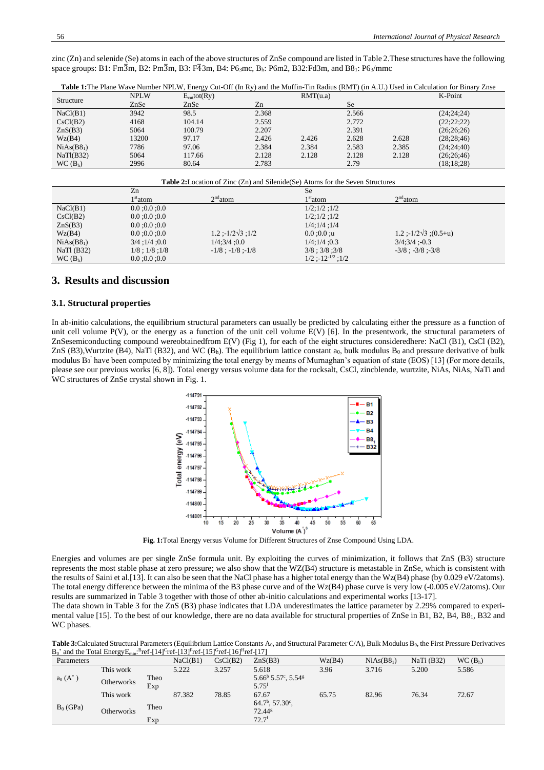zinc (Zn) and selenide (Se) atoms in each of the above structures of ZnSe compound are listed in Table 2.These structures have the following space groups: B1: Fm3m, B2: Pm3m, B3: F43m, B4: P63mc, B<sub>h</sub>: [P6m2,](https://homepage.univie.ac.at/michael.leitner/lattice/spcgrp/hexagonal.html#sg187) B32[:Fd3m,](https://homepage.univie.ac.at/michael.leitner/lattice/spcgrp/cubic.html#sg227) and B81: P63/mmc

|                        |             | Tuber Trans France March announced the My Block of the My Party of the Mathin The Radius (Reset France, 1990 in Carolination for Dinar |       |          |           |       |              | ----- |
|------------------------|-------------|----------------------------------------------------------------------------------------------------------------------------------------|-------|----------|-----------|-------|--------------|-------|
| Structure              | <b>NPLW</b> | $E_{\text{cut}}$ tot(Ry)                                                                                                               |       | RMT(u.a) |           |       | K-Point      |       |
|                        | ZnSe        | ZnSe                                                                                                                                   | Zn    |          | <b>Se</b> |       |              |       |
| NaCl(B1)               | 3942        | 98.5                                                                                                                                   | 2.368 |          | 2.566     |       | (24:24:24)   |       |
| CsCl(B2)               | 4168        | 104.14                                                                                                                                 | 2.559 |          | 2.772     |       | (22; 22; 22) |       |
| ZnS(B3)                | 5064        | 100.79                                                                                                                                 | 2.207 |          | 2.391     |       | (26; 26; 26) |       |
| Wz(B4)                 | 13200       | 97.17                                                                                                                                  | 2.426 | 2.426    | 2.628     | 2.628 | (28; 28; 46) |       |
| NiAs(B8 <sub>1</sub> ) | 7786        | 97.06                                                                                                                                  | 2.384 | 2.384    | 2.583     | 2.385 | (24;24;40)   |       |
| NaTi(B32)              | 5064        | 117.66                                                                                                                                 | 2.128 | 2.128    | 2.128     | 2.128 | (26; 26; 46) |       |
| WC(B <sub>h</sub> )    | 2996        | 80.64                                                                                                                                  | 2.783 |          | 2.79      |       | (18:18:28)   |       |

**Table 1:**The Plane Wave Number NPLW, Energy Cut-Off (In Ry) and the Muffin-Tin Radius (RMT) (in A.U.) Used in Calculation for Binary Znse

| <b>Table 2:</b> Location of Zinc (Zn) and Silenide(Se) Atoms for the Seven Structures |                       |                                |                                 |                                 |  |  |  |
|---------------------------------------------------------------------------------------|-----------------------|--------------------------------|---------------------------------|---------------------------------|--|--|--|
|                                                                                       | Zn                    |                                | <b>Se</b>                       |                                 |  |  |  |
|                                                                                       | $1st$ atom            | $2nd$ atom                     | $1st$ atom                      | $2nd$ atom                      |  |  |  |
| NaCl(B1)                                                                              | 0.0; 0.0; 0.0         |                                | $1/2$ ; $1/2$ ; $1/2$           |                                 |  |  |  |
| CsCl(B2)                                                                              | 0.0:0.0:0.0           |                                | $1/2$ ; $1/2$ ; $1/2$           |                                 |  |  |  |
| $\text{ZnS}(\text{B3})$                                                               | 0.0; 0.0; 0.0         |                                | $1/4$ ; $1/4$ ; $1/4$           |                                 |  |  |  |
| Wz(B4)                                                                                | 0.0:0.0:0.0           | $1.2$ ;- $1/2\sqrt{3}$ ; $1/2$ | 0.0:0.0:u                       | $1.2$ ;-1/2 $\sqrt{3}$ ;(0.5+u) |  |  |  |
| NiAs(B8 <sub>1</sub> )                                                                | $3/4$ ; $1/4$ ; 0.0   | 1/4:3/4:0.0                    | 1/4:1/4:0.3                     | 3/4:3/4:0.3                     |  |  |  |
| NaTl $(B32)$                                                                          | $1/8$ ; $1/8$ ; $1/8$ | $-1/8$ ; $-1/8$ ; $-1/8$       | $3/8$ ; $3/8$ ; $3/8$           | $-3/8$ ; $-3/8$ ; $-3/8$        |  |  |  |
| WC(B <sub>h</sub> )                                                                   | 0.0; 0.0; 0.0         |                                | $1/2$ :-12 <sup>-1/2</sup> :1/2 |                                 |  |  |  |

## **3. Results and discussion**

### **3.1. Structural properties**

In ab-initio calculations, the equilibrium structural parameters can usually be predicted by calculating either the pressure as a function of unit cell volume P(V), or the energy as a function of the unit cell volume E(V) [6]. In the presentwork, the structural parameters of ZnSesemiconducting compound wereobtainedfrom E(V) (Fig 1), for each of the eight structures consideredhere: NaCl (B1), CsCl (B2),  $ZnS$  (B3), Wurtzite (B4), NaTl (B32), and WC (B<sub>h</sub>). The equilibrium lattice constant a<sub>0</sub>, bulk modulus B<sub>0</sub> and pressure derivative of bulk modulus B<sub>0</sub>' have been computed by minimizing the total energy by means of Murnaghan's equation of state (EOS) [13] (For more details, please see our previous works [6, 8]). Total energy versus volume data for the rocksalt, CsCl, zincblende, wurtzite, NiAs, NiAs, NaTi and WC structures of ZnSe crystal shown in Fig. 1.



**Fig. 1:**Total Energy versus Volume for Different Structures of Znse Compound Using LDA.

Energies and volumes are per single ZnSe formula unit. By exploiting the curves of minimization, it follows that ZnS (B3) structure represents the most stable phase at zero pressure; we also show that the WZ(B4) structure is metastable in ZnSe, which is consistent with the results of Saini et al. [13]. It can also be seen that the NaCl phase has a higher total energy than the Wz(B4) phase (by 0.029 eV/2atoms). The total energy difference between the minima of the B3 phase curve and of the Wz(B4) phase curve is very low (-0.005 eV/2atoms). Our results are summarized in Table 3 together with those of other ab-initio calculations and experimental works [13-17].

The data shown in Table 3 for the ZnS (B3) phase indicates that LDA underestimates the lattice parameter by 2.29% compared to experimental value [15]. To the best of our knowledge, there are no data available for structural properties of ZnSe in B1, B2, B4, B81, B32 and WC phases.

| Table 3: Calculated Structural Parameters (Equilibrium Lattice Constants A <sub>0</sub> , and Structural Parameter C/A), Bulk Modulus B <sub>0</sub> , the First Pressure Derivatives |  |
|---------------------------------------------------------------------------------------------------------------------------------------------------------------------------------------|--|
| $B_0$ ' and the Total Energy E <sub>min</sub> : <sup>B</sup> ref-[14] <sup>C</sup> ref-[13] <sup>F</sup> ref-[15] <sup>G</sup> ref-[16] <sup>H</sup> ref-[17]                         |  |

| Parameters       |            |             | NaCl(B1) | CsCl(B2) | ZnS(B3)                                                               | Wz(B4) | NiAs(B8 <sub>1</sub> ) | NaTi $(B32)$ | WC(B <sub>h</sub> ) |
|------------------|------------|-------------|----------|----------|-----------------------------------------------------------------------|--------|------------------------|--------------|---------------------|
| $a_0(A^{\circ})$ | This work  |             | 5.222    | 3.257    | 5.618                                                                 | 3.96   | 3.716                  | 5.200        | 5.586               |
|                  | Otherworks | Theo<br>Exp |          |          | $5.66^{\rm b}$ $5.57^{\rm c}$ , $5.54^{\rm g}$<br>$5.75$ <sup>f</sup> |        |                        |              |                     |
| $B_0$ (GPa)      | This work  |             | 87.382   | 78.85    | 67.67                                                                 | 65.75  | 82.96                  | 76.34        | 72.67               |
|                  | Otherworks | Theo        |          |          | $64.7^{\rm b}$ , $57.30^{\rm c}$ ,<br>$72.44$ <sup>g</sup>            |        |                        |              |                     |
|                  |            | Exp         |          |          | $72.7^{\rm f}$                                                        |        |                        |              |                     |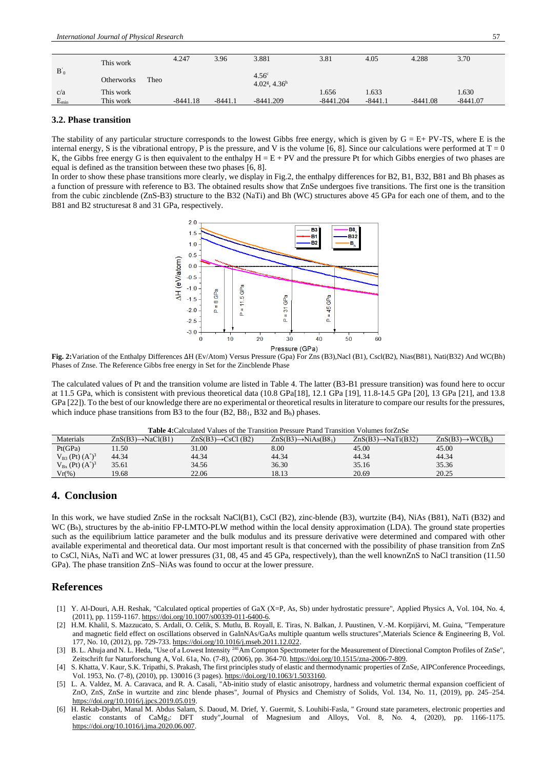|           | This work         |      | 4.247      | 3.96      | 3.881                                                | 3.81        | 4.05      | 4.288      | 3.70       |
|-----------|-------------------|------|------------|-----------|------------------------------------------------------|-------------|-----------|------------|------------|
| $B_0$     | <b>Otherworks</b> | Theo |            |           | 4.56 <sup>c</sup><br>$4.02^{\rm g}$ , $4.36^{\rm h}$ |             |           |            |            |
| c/a       | This work         |      |            |           |                                                      | .656        | 1.633     |            | 1.630      |
| $E_{min}$ | This work         |      | $-8441.18$ | $-8441.1$ | $-8441.209$                                          | $-8441.204$ | $-8441.1$ | $-8441.08$ | $-8441.07$ |
|           |                   |      |            |           |                                                      |             |           |            |            |

#### **3.2. Phase transition**

The stability of any particular structure corresponds to the lowest Gibbs free energy, which is given by  $G = E + PV-TS$ , where E is the internal energy, S is the vibrational entropy, P is the pressure, and V is the volume [6, 8]. Since our calculations were performed at  $T = 0$ K, the Gibbs free energy G is then equivalent to the enthalpy  $H = E + PV$  and the pressure Pt for which Gibbs energies of two phases are equal is defined as the transition between these two phases [6, 8].

In order to show these phase transitions more clearly, we display in Fig.2, the enthalpy differences for B2, B1, B32, B81 and Bh phases as a function of pressure with reference to B3. The obtained results show that ZnSe undergoes five transitions. The first one is the transition from the cubic zincblende (ZnS-B3) structure to the B32 (NaTi) and Bh (WC) structures above 45 GPa for each one of them, and to the B81 and B2 structuresat 8 and 31 GPa, respectively.



**Fig. 2:**Variation of the Enthalpy Differences ∆H (Ev/Atom) Versus Pressure (Gpa) For Zns (B3),Nacl (B1), Cscl(B2), Nias(B81), Nati(B32) And WC(Bh) Phases of Znse. The Reference Gibbs free energy in Set for the Zincblende Phase

The calculated values of Pt and the transition volume are listed in Table 4. The latter (B3-B1 pressure transition) was found here to occur at 11.5 GPa, which is consistent with previous theoretical data (10.8 GPa[18], 12.1 GPa [19], 11.8-14.5 GPa [20], 13 GPa [21], and 13.8 GPa [22]). To the best of our knowledge there are no experimental or theoretical results in literature to compare our results for the pressures, which induce phase transitions from B3 to the four  $(B2, B8<sub>1</sub>, B3<sub>2</sub>)$  and  $B<sub>h</sub>$ ) phases.

| <b>Table 4:</b> Calculated Values of the Transition Pressure Ptand Transition Volumes for ZnSe |  |  |  |
|------------------------------------------------------------------------------------------------|--|--|--|
|                                                                                                |  |  |  |

|                               |                                |                                | <u>a batzina tan alimbilikana yalitikat ya titua tarihitikata i tharihitina tarihitikati yazinitikat inzizain zhi</u> |                                 |                               |
|-------------------------------|--------------------------------|--------------------------------|-----------------------------------------------------------------------------------------------------------------------|---------------------------------|-------------------------------|
| Materials                     | $ZnS(B3) \rightarrow NaCl(B1)$ | $ZnS(B3) \rightarrow CsCl(B2)$ | $ZnS(B3) \rightarrow NiAs(B8_1)$                                                                                      | $ZnS(B3) \rightarrow NaTi(B32)$ | $ZnS(B3) \rightarrow WC(B_h)$ |
| Pt(GPa)                       | 1.50                           | 31.00                          | 8.00                                                                                                                  | 45.00                           | 45.00                         |
| $V_{B3}$ (Pt) $(A^{\circ})^3$ | 44.34                          | 44.34                          | 44.34                                                                                                                 | 44.34                           | 44.34                         |
| $V_{Bx}$ (Pt) $(A^{\circ})^3$ | 35.61                          | 34.56                          | 36.30                                                                                                                 | 35.16                           | 35.36                         |
| $Vr(\%)$                      | 19.68                          | 22.06                          | 18.13                                                                                                                 | 20.69                           | 20.25                         |

# **4. Conclusion**

In this work, we have studied ZnSe in the rocksalt NaCl(B1), CsCl (B2), zinc-blende (B3), wurtzite (B4), NiAs (B81), NaTi (B32) and  $WC (B<sub>h</sub>)$ , structures by the ab-initio FP-LMTO-PLW method within the local density approximation (LDA). The ground state properties such as the equilibrium lattice parameter and the bulk modulus and its pressure derivative were determined and compared with other available experimental and theoretical data. Our most important result is that concerned with the possibility of phase transition from ZnS to CsCl, NiAs, NaTi and WC at lower pressures (31, 08, 45 and 45 GPa, respectively), than the well knownZnS to NaCl transition (11.50 GPa). The phase transition ZnS–NiAs was found to occur at the lower pressure.

## **References**

- [1] Y. Al-Douri, A.H. Reshak, "Calculated optical properties of GaX (X=P, As, Sb) under hydrostatic pressure", [Applied Physics A,](https://www.researchgate.net/journal/Applied-Physics-A-1432-0630) Vol. 104, No. 4, (2011), pp. 1159-1167[. https://doi.org/10.1007/s00339-011-6400-6.](https://doi.org/10.1007/s00339-011-6400-6)
- [2] H.M. Khalil, S. Mazzucato, S. Ardali, O. Celik, S. Mutlu, B. Royall, E. Tiras, N. Balkan, J. Puustinen, V.-M. Korpijärvi, M. Guina, "Temperature and magnetic field effect on oscillations observed in GaInNAs/GaAs multiple quantum wells structures[",Materials Science & Engineering B,](https://www.infona.pl/resource/bwmeta1.element.elsevier-9afd7a7d-8987-3ec0-b67a-05e8507cb698/tab/jContent) Vol. 177, No. 10, (2012), pp. 729-733[. https://doi.org/10.1016/j.mseb.2011.12.022.](https://doi.org/10.1016/j.mseb.2011.12.022)
- [3] B. L. Ahuja and N. L. Heda, "Use of a Lowest Intensity <sup>241</sup>Am Compton Spectrometer for the Measurement of Directional Compton Profiles of ZnSe", Zeitschrift fur Naturforschung A, Vol. 61a, No. (7-8), (2006), pp. 364-70[. https://doi.org/10.1515/zna-2006-7-809.](https://doi.org/10.1515/zna-2006-7-809)
- [4] S. Khatta, V. Kaur, S.K. Tripathi, S. Prakash, The first principles study of elastic and thermodynamic properties of ZnSe, AI[PConference Proceedings,](https://aip.scitation.org/journal/apc)  Vol. 1953, No. (7-8), (2010), pp. 130016 (3 pages)[. https://doi.org/10.1063/1.5033160.](https://doi.org/10.1063/1.5033160)
- [5] L. A. Valdez, M. A. Caravaca, and R. A. Casali, "Ab-initio study of elastic anisotropy, hardness and volumetric thermal expansion coefficient of ZnO, ZnS, ZnSe in wurtzite and zinc blende phases", Journal of Physics and Chemistry of Solids, Vol. 134, No. 11, (2019), pp. 245–254. [https://doi.org/10.1016/j.jpcs.2019.05.019.](https://doi.org/10.1016/j.jpcs.2019.05.019)
- [6] H. Rekab-Djabri, Manal M. Abdus Salam, S. Daoud, M. Drief, Y. Guermit, S. Louhibi-Fasla, " Ground state parameters, electronic properties and elastic constants of CaMg3: DFT study"*,*Journal of Magnesium and Alloys, Vol. 8, No. 4, (2020), pp. 1166-1175. [https://doi.org/10.1016/j.jma.2020.06.007.](https://doi.org/10.1016/j.jma.2020.06.007)